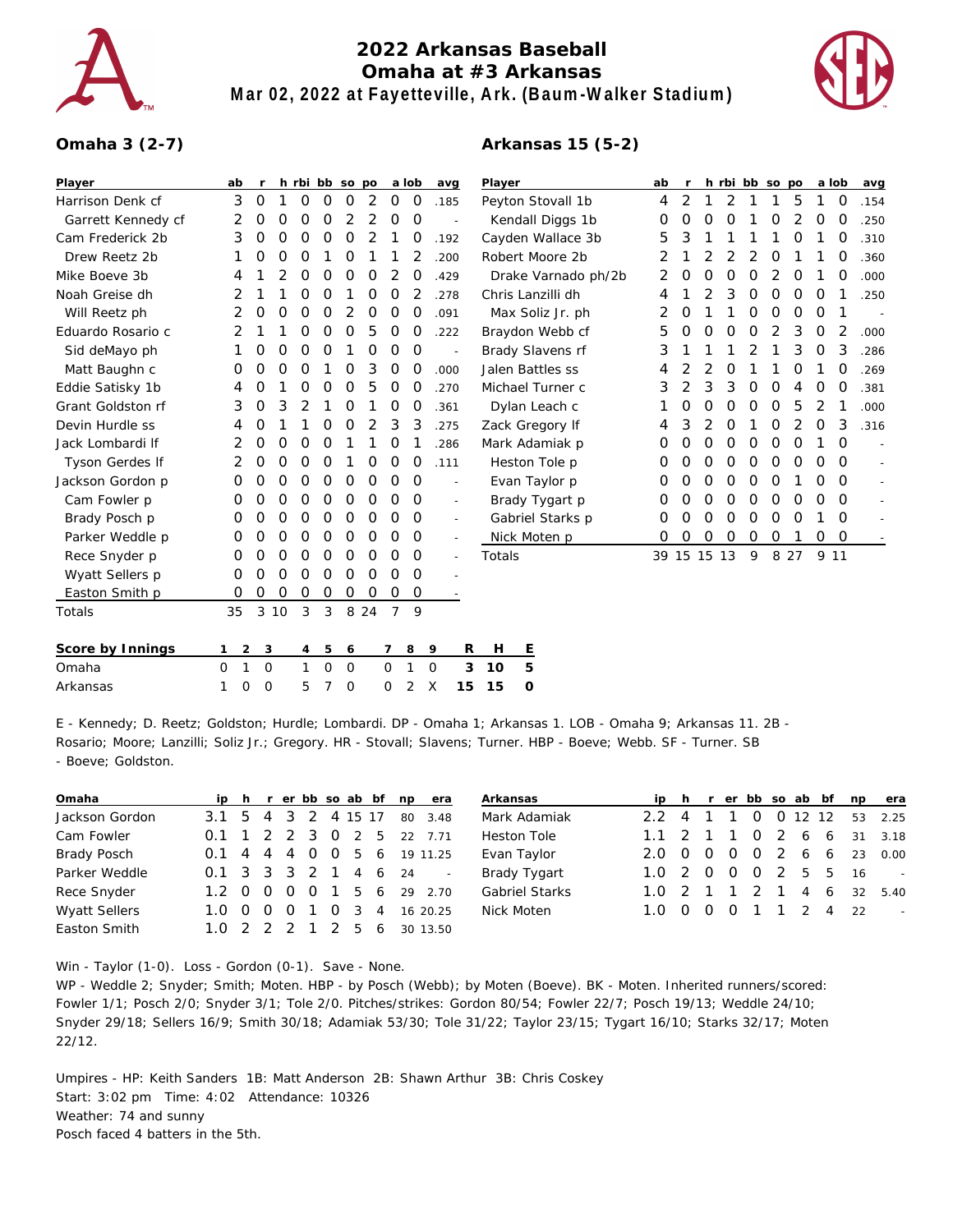

## **2022 Arkansas Baseball Omaha at #3 Arkansas Mar 02, 2022 at Fayetteville, Ark. (Baum-Walker Stadium)**

**Arkansas 15 (5-2)**



## **Omaha 3 (2-7)**

| Player             | ab                  | r             |          |             |             | h rbi bb so po |             |                | a lob          | avg                      |          | Player              |                  | ab          | $\mathsf{r}$ |             | h rbi bb so po |               |                |               |              | a lob          | avg            |
|--------------------|---------------------|---------------|----------|-------------|-------------|----------------|-------------|----------------|----------------|--------------------------|----------|---------------------|------------------|-------------|--------------|-------------|----------------|---------------|----------------|---------------|--------------|----------------|----------------|
| Harrison Denk cf   | 3                   | $\mathcal{O}$ | 1        | 0           | $\mathbf 0$ | $\circ$        | 2           | $\circ$        | $\mathcal{O}$  | .185                     |          | Peyton Stovall 1b   |                  |             |              | 2<br>1      | 2              | -1            | 1              | 5             | $\mathbf{1}$ | $\overline{0}$ | .154           |
| Garrett Kennedy cf | 2                   | O             | 0        | $\Omega$    | $\Omega$    | 2              | 2           | $\Omega$       | $\Omega$       |                          |          | Kendall Diggs 1b    |                  |             |              | $\Omega$    | $\Omega$       |               | O              | 2             | O            | O              | .250           |
| Cam Frederick 2b   | 3                   | 0             | 0        | 0           | 0           | 0              | 2           |                | 0              | .192                     |          | Cayden Wallace 3b   |                  |             |              |             |                |               |                | 0             |              | O              | .310           |
| Drew Reetz 2b      |                     | 0             | 0        | $\Omega$    |             | 0              |             |                | 2              | .200                     |          | Robert Moore 2b     |                  |             |              | 2           | 2              | 2             | 0              |               |              | 0              | .360           |
| Mike Boeve 3b      | 4                   |               | 2        | 0           | 0           | $\mathbf 0$    | 0           | 2              | 0              | .429                     |          | Drake Varnado ph/2b |                  |             |              | $\mathbf 0$ | $\mathbf 0$    | $\circ$       | 2              | 0             |              | 0              | .000           |
| Noah Greise dh     | 2                   |               |          | O           | 0           |                | 0           | 0              | 2              | .278                     |          | Chris Lanzilli dh   |                  |             |              | 2           | 3              | $\mathcal{O}$ | 0              | O             | 0            |                | .250           |
| Will Reetz ph      | 2                   | 0             | 0        | 0           | $\mathbf 0$ | 2              | 0           | $\mathbf 0$    | $\circ$        | .091                     |          | Max Soliz Jr. ph    |                  |             |              |             | 1              | $\mathcal{O}$ | $\circ$        | $\mathcal{O}$ | $\mathbf 0$  |                |                |
| Eduardo Rosario c  | 2                   |               |          | 0           | O           | 0              | 5           | 0              | O              | .222                     |          | Braydon Webb cf     |                  | 5           | 0            | $\Omega$    | 0              | 0             | $\overline{2}$ | 3             | $\mathbf 0$  | 2              | .000           |
| Sid deMayo ph      | 1                   | O             | 0        | 0           | 0           |                | 0           | 0              | $\overline{0}$ |                          |          | Brady Slavens rf    |                  | 3           |              |             |                | 2             | 1              | 3             | $\mathbf 0$  | 3              | .286           |
| Matt Baughn c      | O                   | 0             | 0        | 0           |             | 0              | 3           | 0              | 0              | .000                     |          |                     | Jalen Battles ss | 4           | 2            | 2           | O              |               |                | O             | 1            | 0              | .269           |
| Eddie Satisky 1b   | 4                   | 0             |          | 0           | 0           | 0              | 5           | 0              | 0              | .270                     |          | Michael Turner c    |                  |             |              | 3           | 3              | 0             | O              | 4             | 0            | 0              | .381           |
| Grant Goldston rf  | 3                   | 0             | 3        | 2           |             | 0              |             | 0              | 0              | .361                     |          |                     | Dylan Leach c    |             | 0            | $\mathbf 0$ | 0              | 0             | 0              | 5             | 2            |                | .000           |
| Devin Hurdle ss    | 4                   | 0             |          |             | 0           | 0              | 2           | 3              | 3              | .275                     |          | Zack Gregory If     |                  |             | 3<br>4       | 2           | 0              |               | 0              | 2             | $\mathbf 0$  | 3              | .316           |
| Jack Lombardi If   | 2                   | 0             | 0        | 0           | 0           |                |             | 0              |                | .286                     |          | Mark Adamiak p      |                  |             | 0<br>0       | $\mathbf 0$ | 0              | 0             | 0              | 0             |              | 0              |                |
| Tyson Gerdes If    | 2                   | 0             | $\Omega$ | $\Omega$    | $\Omega$    |                | 0           | $\mathbf 0$    | $\Omega$       | .111                     |          | Heston Tole p       |                  |             |              | $\Omega$    | $\Omega$       | $\Omega$      | $\Omega$       | $\Omega$      | 0            | $\Omega$       | $\overline{a}$ |
| Jackson Gordon p   | 0                   | O             | 0        | 0           | 0           | 0              | 0           | 0              | 0              | $\overline{a}$           |          | Evan Taylor p       |                  | 0           | 0            | 0           | $\mathbf 0$    | $\mathbf 0$   | 0              |               | O            | $\Omega$       |                |
| Cam Fowler p       | O                   | 0             | 0        | 0           | 0           | 0              | 0           | 0              | $\Omega$       | $\sim$                   |          |                     | Brady Tygart p   | Ο           | Ο            | 0           | 0              | O             | 0              | O             | 0            | $\Omega$       | l,             |
| Brady Posch p      | O                   | 0             | 0        | $\mathbf 0$ | $\mathbf 0$ | $\mathbf 0$    | $\mathbf 0$ | 0              | 0              | $\sim$                   |          |                     | Gabriel Starks p | 0           | O            | $\mathbf 0$ | $\overline{0}$ | $\mathbf 0$   | 0              | $\Omega$      | 1            | $\Omega$       |                |
| Parker Weddle p    | 0                   | O             | 0        | 0           | 0           | 0              | 0           | O              | 0              | $\overline{\phantom{a}}$ |          |                     | Nick Moten p     | $\mathbf 0$ | $\mathbf 0$  | $\mathbf 0$ | $\mathbf 0$    | $\mathsf{O}$  | 0              | 1             | $\mathbf{O}$ | $\overline{O}$ |                |
| Rece Snyder p      | 0                   | O             | 0        | 0           | $\mathbf 0$ | 0              | 0           | 0              | 0              | $\sim$                   |          | Totals              |                  |             | 39 15 15 13  |             |                | 9             |                | 8 2 7         | 9 1 1        |                |                |
| Wyatt Sellers p    | 0                   | Ο             | O        | $\Omega$    | $\Omega$    | $\Omega$       | $\Omega$    | $\Omega$       | $\Omega$       |                          |          |                     |                  |             |              |             |                |               |                |               |              |                |                |
| Easton Smith p     | 0                   | $\Omega$      | 0        | 0           | 0           | 0              | 0           | 0              | $\mathcal{O}$  |                          |          |                     |                  |             |              |             |                |               |                |               |              |                |                |
| Totals             | 35                  | 3             | 10       | 3           | 3           |                | 8 2 4       | $\overline{7}$ | 9              |                          |          |                     |                  |             |              |             |                |               |                |               |              |                |                |
| Score by Innings   | $\overline{2}$<br>1 | 3             |          | 4           | 5           | 6              |             | 7              | 8              | 9                        | R        | Н                   | <u>E</u>         |             |              |             |                |               |                |               |              |                |                |
| Omaha              | $\mathbf{1}$<br>0   | $\circ$       |          | 1           | 0           | $\overline{0}$ |             | 0              | 1              | $\mathbf 0$              | 3<br>10  |                     | 5                |             |              |             |                |               |                |               |              |                |                |
| Arkansas           | 1<br>0              | $\circ$       |          | 5           | 7           | $\mathbf 0$    |             | 0              | 2              | X                        | 15<br>15 |                     | O                |             |              |             |                |               |                |               |              |                |                |

E - Kennedy; D. Reetz; Goldston; Hurdle; Lombardi. DP - Omaha 1; Arkansas 1. LOB - Omaha 9; Arkansas 11. 2B - Rosario; Moore; Lanzilli; Soliz Jr.; Gregory. HR - Stovall; Slavens; Turner. HBP - Boeve; Webb. SF - Turner. SB - Boeve; Goldston.

| Omaha                |                           |                 |                |                |  | ip h r er bb so ab bf np era | Ar        |
|----------------------|---------------------------|-----------------|----------------|----------------|--|------------------------------|-----------|
| Jackson Gordon       |                           |                 |                |                |  | 3.1 5 4 3 2 4 15 17 80 3.48  | Ma        |
| Cam Fowler           | $0.1 \t1 \t2 \t2 \t3 \t0$ |                 |                |                |  | 2 5 22 7.71                  | He        |
| Brady Posch          | $0.1$ 4 4 4 0             |                 |                | $\circ$ O      |  | 5 6 19 11.25                 | Ev        |
| Parker Weddle        | 0.1 3 3 3 2 1 4 6 24      |                 |                |                |  |                              | <b>Br</b> |
| Rece Snyder          | $1.2 \Omega$              | <u>റ</u> റ      | $\overline{O}$ |                |  | 1 5 6 29 2.70                | Gε        |
| <b>Wyatt Sellers</b> | 1.0 O                     | $\circ$ $\circ$ | $\overline{1}$ | $\overline{O}$ |  | 3 4 16 20 25                 | Ni        |
| Easton Smith         | $1.0 \t2 \t2 \t2 \t1$     |                 |                |                |  | 2 5 6 30 13.50               |           |

| Arkansas       |                      |  |  |  |                  | ip h r er bb so ab bf np era |
|----------------|----------------------|--|--|--|------------------|------------------------------|
| Mark Adamiak   |                      |  |  |  |                  | 2.2 4 1 1 0 0 12 12 53 2.25  |
| Heston Tole    |                      |  |  |  |                  | 1.1 2 1 1 0 2 6 6 31 3.18    |
| Evan Taylor    | 2.0                  |  |  |  |                  | 0 0 0 0 2 6 6 23 0.00        |
| Brady Tygart   | 1.0 2 0 0 0 2 5 5 16 |  |  |  |                  |                              |
| Gabriel Starks |                      |  |  |  |                  | 1.0 2 1 1 2 1 4 6 32 5.40    |
| Nick Moten     | 1.0                  |  |  |  | 0 0 0 1 1 2 4 22 |                              |
|                |                      |  |  |  |                  |                              |

Win - Taylor (1-0). Loss - Gordon (0-1). Save - None.

WP - Weddle 2; Snyder; Smith; Moten. HBP - by Posch (Webb); by Moten (Boeve). BK - Moten. Inherited runners/scored: Fowler 1/1; Posch 2/0; Snyder 3/1; Tole 2/0. Pitches/strikes: Gordon 80/54; Fowler 22/7; Posch 19/13; Weddle 24/10; Snyder 29/18; Sellers 16/9; Smith 30/18; Adamiak 53/30; Tole 31/22; Taylor 23/15; Tygart 16/10; Starks 32/17; Moten 22/12.

Umpires - HP: Keith Sanders 1B: Matt Anderson 2B: Shawn Arthur 3B: Chris Coskey Start: 3:02 pm Time: 4:02 Attendance: 10326 Weather: 74 and sunny Posch faced 4 batters in the 5th.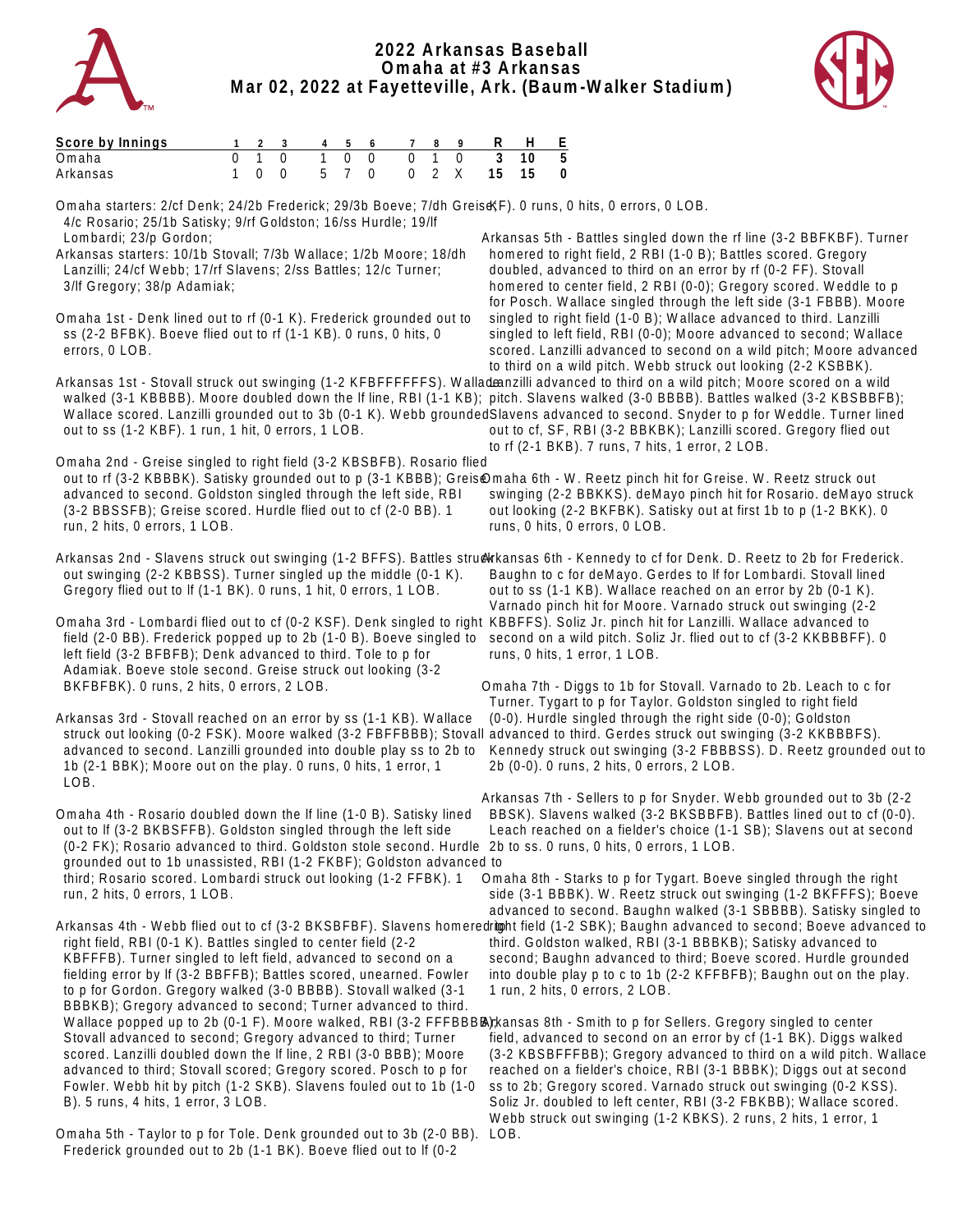



| Score by Innings                                                                                                                                                                                                                                                                                                                           |                |          |                |               |                              |             |               |               |             |                                                                                                                                                                                                                                                                                                                    |                                                                                                                                                                                                                                                                                                                                                                                                                                                                                                                                            |
|--------------------------------------------------------------------------------------------------------------------------------------------------------------------------------------------------------------------------------------------------------------------------------------------------------------------------------------------|----------------|----------|----------------|---------------|------------------------------|-------------|---------------|---------------|-------------|--------------------------------------------------------------------------------------------------------------------------------------------------------------------------------------------------------------------------------------------------------------------------------------------------------------------|--------------------------------------------------------------------------------------------------------------------------------------------------------------------------------------------------------------------------------------------------------------------------------------------------------------------------------------------------------------------------------------------------------------------------------------------------------------------------------------------------------------------------------------------|
| Omaha                                                                                                                                                                                                                                                                                                                                      | $\overline{0}$ |          | $\overline{0}$ | $\frac{4}{1}$ | $rac{6}{0}$<br>$\frac{5}{0}$ | $rac{7}{0}$ | $\frac{8}{1}$ | $\frac{9}{0}$ | $rac{R}{3}$ | $\overline{10}$                                                                                                                                                                                                                                                                                                    | $rac{E}{5}$                                                                                                                                                                                                                                                                                                                                                                                                                                                                                                                                |
| Arkansas                                                                                                                                                                                                                                                                                                                                   | 1              | $\Omega$ | $\Omega$       | 5             | $7^{\circ}$<br>$\Omega$      | $\Omega$    | 2             | X             | 15          | 15                                                                                                                                                                                                                                                                                                                 | $\mathbf 0$                                                                                                                                                                                                                                                                                                                                                                                                                                                                                                                                |
| 4/c Rosario; 25/1b Satisky; 9/rf Goldston; 16/ss Hurdle; 19/lf<br>Lombardi; 23/p Gordon;                                                                                                                                                                                                                                                   |                |          |                |               |                              |             |               |               |             |                                                                                                                                                                                                                                                                                                                    | Omaha starters: 2/cf Denk; 24/2b Frederick; 29/3b Boeve; 7/dh Greis&F). 0 runs, 0 hits, 0 errors, 0 LOB.<br>Arkansas 5th - Battles singled down the rf line (3-2 BBFKBF). Turner                                                                                                                                                                                                                                                                                                                                                           |
| Arkansas starters: 10/1b Stovall; 7/3b Wallace; 1/2b Moore; 18/dh<br>Lanzilli; 24/cf Webb; 17/rf Slavens; 2/ss Battles; 12/c Turner;<br>3/If Gregory; 38/p Adamiak;                                                                                                                                                                        |                |          |                |               |                              |             |               |               |             |                                                                                                                                                                                                                                                                                                                    | homered to right field, 2 RBI (1-0 B); Battles scored. Gregory<br>doubled, advanced to third on an error by rf (0-2 FF). Stovall<br>homered to center field, 2 RBI (0-0); Gregory scored. Weddle to p<br>for Posch. Wallace singled through the left side (3-1 FBBB). Moore                                                                                                                                                                                                                                                                |
| Omaha 1st - Denk lined out to rf (0-1 K). Frederick grounded out to<br>ss (2-2 BFBK). Boeve flied out to rf (1-1 KB). 0 runs, 0 hits, 0<br>errors, 0 LOB.                                                                                                                                                                                  |                |          |                |               |                              |             |               |               |             |                                                                                                                                                                                                                                                                                                                    | singled to right field (1-0 B); Wallace advanced to third. Lanzilli<br>singled to left field, RBI (0-0); Moore advanced to second; Wallace<br>scored. Lanzilli advanced to second on a wild pitch; Moore advanced<br>to third on a wild pitch. Webb struck out looking (2-2 KSBBK).                                                                                                                                                                                                                                                        |
| out to ss (1-2 KBF). 1 run, 1 hit, 0 errors, 1 LOB.                                                                                                                                                                                                                                                                                        |                |          |                |               |                              |             |               |               |             |                                                                                                                                                                                                                                                                                                                    | Arkansas 1st - Stovall struck out swinging (1-2 KFBFFFFFFS). Walladeanzilli advanced to third on a wild pitch; Moore scored on a wild<br>walked (3-1 KBBBB). Moore doubled down the If line, RBI (1-1 KB); pitch. Slavens walked (3-0 BBBB). Battles walked (3-2 KBSBBFB);<br>Wallace scored. Lanzilli grounded out to 3b (0-1 K). Webb groundedSlavens advanced to second. Snyder to p for Weddle. Turner lined<br>out to cf, SF, RBI (3-2 BBKBK); Lanzilli scored. Gregory flied out<br>to rf (2-1 BKB). 7 runs, 7 hits, 1 error, 2 LOB. |
| Omaha 2nd - Greise singled to right field (3-2 KBSBFB). Rosario flied<br>advanced to second. Goldston singled through the left side, RBI<br>(3-2 BBSSFB); Greise scored. Hurdle flied out to cf (2-0 BB). 1<br>run, 2 hits, 0 errors, 1 LOB.                                                                                               |                |          |                |               |                              |             |               |               |             |                                                                                                                                                                                                                                                                                                                    | out to rf (3-2 KBBBK). Satisky grounded out to p (3-1 KBBB); Greis@maha 6th - W. Reetz pinch hit for Greise. W. Reetz struck out<br>swinging (2-2 BBKKS). deMayo pinch hit for Rosario. deMayo struck<br>out looking (2-2 BKFBK). Satisky out at first 1b to p (1-2 BKK). 0<br>runs, 0 hits, 0 errors, 0 LOB.                                                                                                                                                                                                                              |
| out swinging (2-2 KBBSS). Turner singled up the middle (0-1 K).<br>Gregory flied out to If (1-1 BK). 0 runs, 1 hit, 0 errors, 1 LOB.                                                                                                                                                                                                       |                |          |                |               |                              |             |               |               |             |                                                                                                                                                                                                                                                                                                                    | Arkansas 2nd - Slavens struck out swinging (1-2 BFFS). Battles struckkansas 6th - Kennedy to cf for Denk. D. Reetz to 2b for Frederick.<br>Baughn to c for deMayo. Gerdes to If for Lombardi. Stovall lined<br>out to ss (1-1 KB). Wallace reached on an error by 2b (0-1 K).<br>Varnado pinch hit for Moore. Varnado struck out swinging (2-2                                                                                                                                                                                             |
| left field (3-2 BFBFB); Denk advanced to third. Tole to p for<br>Adamiak. Boeve stole second. Greise struck out looking (3-2                                                                                                                                                                                                               |                |          |                |               |                              |             |               |               |             |                                                                                                                                                                                                                                                                                                                    | Omaha 3rd - Lombardi flied out to cf (0-2 KSF). Denk singled to right KBBFFS). Soliz Jr. pinch hit for Lanzilli. Wallace advanced to<br>field (2-0 BB). Frederick popped up to 2b (1-0 B). Boeve singled to second on a wild pitch. Soliz Jr. flied out to cf (3-2 KKBBBFF). O<br>runs, 0 hits, 1 error, 1 LOB.                                                                                                                                                                                                                            |
| BKFBFBK). 0 runs, 2 hits, 0 errors, 2 LOB.                                                                                                                                                                                                                                                                                                 |                |          |                |               |                              |             |               |               |             |                                                                                                                                                                                                                                                                                                                    | Omaha 7th - Diggs to 1b for Stovall. Varnado to 2b. Leach to c for<br>Turner. Tygart to p for Taylor. Goldston singled to right field                                                                                                                                                                                                                                                                                                                                                                                                      |
| Arkansas 3rd - Stovall reached on an error by ss (1-1 KB). Wallace<br>advanced to second. Lanzilli grounded into double play ss to 2b to<br>1b (2-1 BBK); Moore out on the play. 0 runs, 0 hits, 1 error, 1<br>LOB.                                                                                                                        |                |          |                |               |                              |             |               |               |             | (0-0). Hurdle singled through the right side (0-0); Goldston<br>struck out looking (0-2 FSK). Moore walked (3-2 FBFFBBB); Stovall advanced to third. Gerdes struck out swinging (3-2 KKBBBFS).<br>Kennedy struck out swinging (3-2 FBBBSS). D. Reetz grounded out to<br>2b (0-0). 0 runs, 2 hits, 0 errors, 2 LOB. |                                                                                                                                                                                                                                                                                                                                                                                                                                                                                                                                            |
| out to If (3-2 BKBSFFB). Goldston singled through the left side                                                                                                                                                                                                                                                                            |                |          |                |               |                              |             |               |               |             |                                                                                                                                                                                                                                                                                                                    | Arkansas 7th - Sellers to p for Snyder. Webb grounded out to 3b (2-2<br>Omaha 4th - Rosario doubled down the If line (1-0 B). Satisky lined BBSK). Slavens walked (3-2 BKSBBFB). Battles lined out to cf (0-0).<br>Leach reached on a fielder's choice (1-1 SB); Slavens out at second<br>(0-2 FK); Rosario advanced to third. Goldston stole second. Hurdle 2b to ss. 0 runs, 0 hits, 0 errors, 1 LOB.                                                                                                                                    |
| grounded out to 1b unassisted, RBI (1-2 FKBF); Goldston advanced to<br>third; Rosario scored. Lombardi struck out looking (1-2 FFBK). 1<br>run, 2 hits, 0 errors, 1 LOB.                                                                                                                                                                   |                |          |                |               |                              |             |               |               |             |                                                                                                                                                                                                                                                                                                                    | Omaha 8th - Starks to p for Tygart. Boeve singled through the right<br>side (3-1 BBBK). W. Reetz struck out swinging (1-2 BKFFFS); Boeve<br>advanced to second. Baughn walked (3-1 SBBBB). Satisky singled to                                                                                                                                                                                                                                                                                                                              |
| right field, RBI (0-1 K). Battles singled to center field (2-2<br>KBFFFB). Turner singled to left field, advanced to second on a<br>fielding error by If (3-2 BBFFB); Battles scored, unearned. Fowler<br>to p for Gordon. Gregory walked (3-0 BBBB). Stovall walked (3-1<br>BBBKB); Gregory advanced to second; Turner advanced to third. |                |          |                |               |                              |             |               |               |             |                                                                                                                                                                                                                                                                                                                    | Arkansas 4th - Webb flied out to cf (3-2 BKSBFBF). Slavens homeredright field (1-2 SBK); Baughn advanced to second; Boeve advanced to<br>third. Goldston walked, RBI (3-1 BBBKB); Satisky advanced to<br>second; Baughn advanced to third; Boeve scored. Hurdle grounded<br>into double play p to c to 1b (2-2 KFFBFB); Baughn out on the play.<br>1 run, 2 hits, 0 errors, 2 LOB.                                                                                                                                                         |
| Stovall advanced to second; Gregory advanced to third; Turner<br>scored. Lanzilli doubled down the If line, 2 RBI (3-0 BBB); Moore                                                                                                                                                                                                         |                |          |                |               |                              |             |               |               |             |                                                                                                                                                                                                                                                                                                                    | Wallace popped up to 2b (0-1 F). Moore walked, RBI (3-2 FFFBBBB) kansas 8th - Smith to p for Sellers. Gregory singled to center<br>field, advanced to second on an error by cf (1-1 BK). Diggs walked<br>(3-2 KBSBFFFBB); Gregory advanced to third on a wild pitch. Wallace                                                                                                                                                                                                                                                               |
| advanced to third; Stovall scored; Gregory scored. Posch to p for<br>Fowler. Webb hit by pitch (1-2 SKB). Slavens fouled out to 1b (1-0<br>B). 5 runs, 4 hits, 1 error, 3 LOB.                                                                                                                                                             |                |          |                |               |                              |             |               |               |             |                                                                                                                                                                                                                                                                                                                    | reached on a fielder's choice, RBI (3-1 BBBK); Diggs out at second<br>ss to 2b; Gregory scored. Varnado struck out swinging (0-2 KSS).<br>Soliz Jr. doubled to left center, RBI (3-2 FBKBB); Wallace scored.<br>Webb struck out swinging (1-2 KBKS). 2 runs, 2 hits, 1 error, 1                                                                                                                                                                                                                                                            |
| Omaha 5th - Taylor to p for Tole. Denk grounded out to 3b (2-0 BB). LOB.                                                                                                                                                                                                                                                                   |                |          |                |               |                              |             |               |               |             |                                                                                                                                                                                                                                                                                                                    |                                                                                                                                                                                                                                                                                                                                                                                                                                                                                                                                            |

Frederick grounded out to 2b (1-1 BK). Boeve flied out to lf (0-2